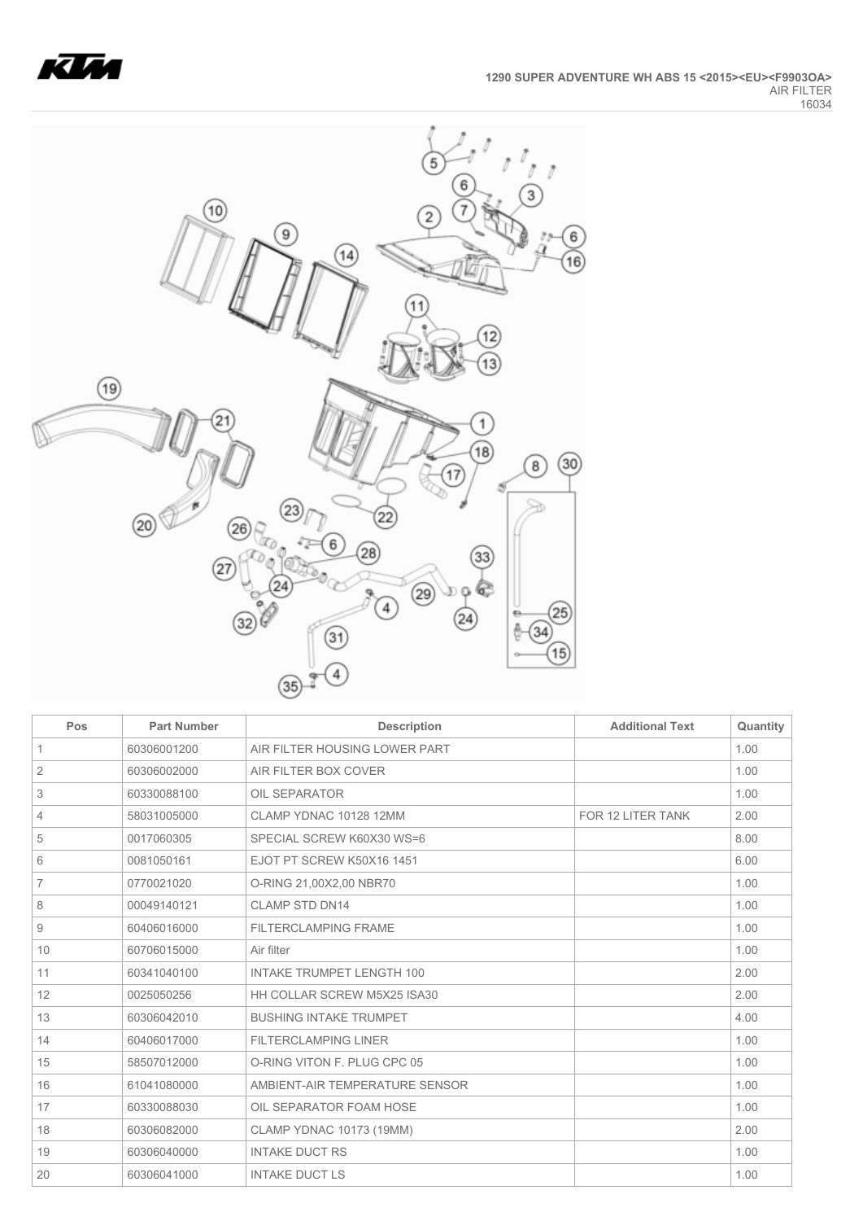



| Pos            | <b>Part Number</b> | <b>Description</b>               | <b>Additional Text</b> | Quantity |
|----------------|--------------------|----------------------------------|------------------------|----------|
| $\mathbf{1}$   | 60306001200        | AIR FILTER HOUSING LOWER PART    |                        | 1.00     |
| 2              | 60306002000        | AIR FILTER BOX COVER             |                        | 1.00     |
| 3              | 60330088100        | OIL SEPARATOR                    |                        | 1.00     |
| 4              | 58031005000        | CLAMP YDNAC 10128 12MM           | FOR 12 LITER TANK      | 2.00     |
| 5              | 0017060305         | SPECIAL SCREW K60X30 WS=6        |                        | 8.00     |
| 6              | 0081050161         | EJOT PT SCREW K50X16 1451        |                        | 6.00     |
| $\overline{7}$ | 0770021020         | O-RING 21,00X2,00 NBR70          |                        | 1.00     |
| 8              | 00049140121        | <b>CLAMP STD DN14</b>            |                        | 1.00     |
| 9              | 60406016000        | <b>FILTERCLAMPING FRAME</b>      |                        | 1.00     |
| 10             | 60706015000        | Air filter                       |                        | 1.00     |
| 11             | 60341040100        | <b>INTAKE TRUMPET LENGTH 100</b> |                        | 2.00     |
| 12             | 0025050256         | HH COLLAR SCREW M5X25 ISA30      |                        | 2.00     |
| 13             | 60306042010        | <b>BUSHING INTAKE TRUMPET</b>    |                        | 4.00     |
| 14             | 60406017000        | <b>FILTERCLAMPING LINER</b>      |                        | 1.00     |
| 15             | 58507012000        | O-RING VITON F. PLUG CPC 05      |                        | 1.00     |
| 16             | 61041080000        | AMBIENT-AIR TEMPERATURE SENSOR   |                        | 1.00     |
| 17             | 60330088030        | OIL SEPARATOR FOAM HOSE          |                        | 1.00     |
| 18             | 60306082000        | <b>CLAMP YDNAC 10173 (19MM)</b>  |                        | 2.00     |
| 19             | 60306040000        | <b>INTAKE DUCT RS</b>            |                        | 1.00     |
| 20             | 60306041000        | <b>INTAKE DUCT LS</b>            |                        | 1.00     |